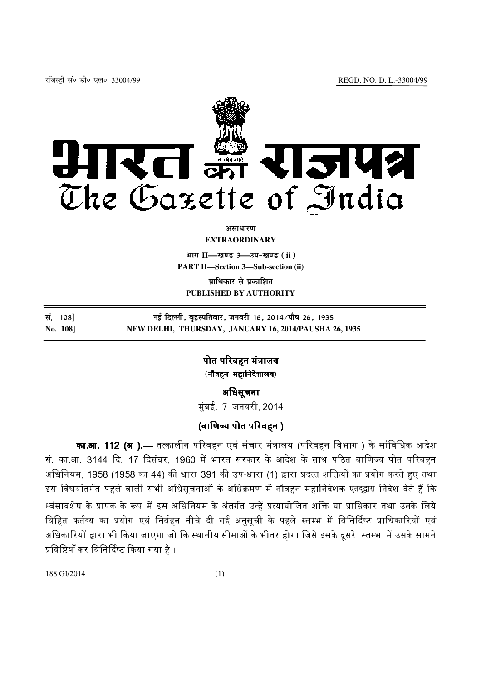

*<u>autre and</u>* **EXTRAORDINARY**

**Hkkx II—[k.M 3—mi&[k.M (ii) PART II—Section 3—Sub-section (ii)**

**un**धिकार से प्रकाशित **PUBLISHED BY AUTHORITY**

**la- 108] ubZ fnYyh] c`gLifrokj] tuojh 16] 2014@ik S"k 26] 1935 No. 108] NEW DELHI, THURSDAY, JANUARY 16, 2014/PAUSHA 26, 1935**

> पोत परिवहन मंत्रालय **(**नौवहन महािनदेशालय नौवहन **)**

अिधसूचना मुंबई, 7 जनवरी, 2014

# (वाणिज्य पोत परिवहन )

**का.आ. 112 (अ )**.— तत्कालीन परिवहन एवं संचार मंत्रालय (परिवहन विभाग ) के सांविधिक आदेश सं. का.आ. 3144 दि. 17 दिसंबर, 1960 में भारत सरकार के आदेश के साथ पठित वाणिज्य पोत परिवहन अधिनियम, 1958 (1958 का 44) की धारा 391 की उप-धारा (1) द्वारा प्रदत्त शक्तियों का प्रयोग करते हुए तथा इस विषयांतर्गत पहले वाली सभी अधिसूचनाओं के अधिक्रमण में नौवहन महानिदेशक एतदुद्वारा निदेश देते हैं कि ध्वंसावशेष के प्रापक के रूप में इस अधिनियम के अंतर्गत उन्हें प्रत्यायोजित शक्ति या प्राधिकार तथा उनके लिये । विहित कर्तव्य का प्रयोग एवं निर्वहन नीचे दी गई अनसची के पहले स्तम्भ में विनिर्दिष्ट प्राधिकारियों एवं /% \*'भी या जाएगा जो :1भीतर होगा िजसे इसके दूसरे :; & प्रविष्टियाँ कर विनिर्दिष्ट किया गया है ।

188 GI/2014 (1)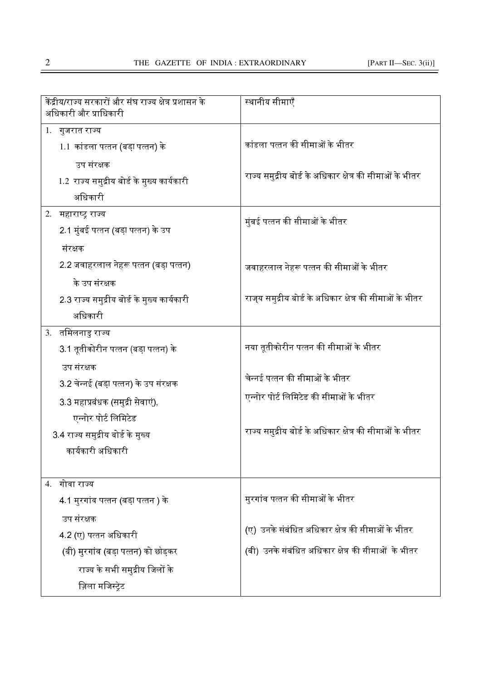| केंद्रीय/राज्य सरकारों और संघ राज्य क्षेत्र प्रशासन के<br>अधिकारी और प्राधिकारी |                                              | स्थानीय सीमाएँ                                           |
|---------------------------------------------------------------------------------|----------------------------------------------|----------------------------------------------------------|
|                                                                                 | 1. गुजरात राज्य                              |                                                          |
|                                                                                 | 1.1 कांडला पत्तन (बड़ा पत्तन) के             | कांडला पत्तन की सीमाओं के भीतर                           |
|                                                                                 | उप संरक्षक                                   |                                                          |
|                                                                                 | 1.2  राज्य समुद्रीय बोर्ड के मुख्य कार्यकारी | राज्य समुद्रीय बोर्ड के अधिकार क्षेत्र की सीमाओं के भीतर |
|                                                                                 | अधिकारी                                      |                                                          |
|                                                                                 | 2. महाराष्ट्र राज्य                          | मुंबई पत्तन की सीमाओं के भीतर                            |
|                                                                                 | 2.1 मुंबई पत्तन (बड़ा पत्तन) के उप           |                                                          |
|                                                                                 | संरक्षक                                      |                                                          |
|                                                                                 | 2.2 जवाहरलाल नेहरू पत्तन (बड़ा पत्तन)        | जवाहरलाल नेहरू पत्तन की सीमाओं के भीतर                   |
|                                                                                 | के उप संरक्षक                                |                                                          |
|                                                                                 | 2.3 राज्य समुद्रीय बोर्ड के मुख्य कार्यकारी  | राज्य समुद्रीय बोर्ड के अधिकार क्षेत्र की सीमाओं के भीतर |
|                                                                                 | अधिकारी                                      |                                                          |
|                                                                                 | 3. तमिलनाडु राज्य                            |                                                          |
|                                                                                 | 3.1 तूतीकोरीन पत्तन (बड़ा पत्तन) के          | नया तूतीकोरीन पत्तन की सीमाओं के भीतर                    |
|                                                                                 | उप संरक्षक                                   |                                                          |
|                                                                                 | 3.2 चेन्नई (बड़ा पत्तन) के उप संरक्षक        | चेन्नई पत्तन की सीमाओं के भीतर                           |
|                                                                                 | 3.3 महाप्रबंधक (समुद्री सेवाएं),             | एन्नोर पोर्ट लिमिटेड की सीमाओं के भीतर                   |
|                                                                                 | एन्नोर पोर्ट लिमिटेड                         |                                                          |
|                                                                                 | 3.4 राज्य समुद्रीय बोर्ड के मुख्य            | राज्य समुद्रीय बोर्ड के अधिकार क्षेत्र की सीमाओं के भीतर |
|                                                                                 | कार्यकारी अधिकारी                            |                                                          |
|                                                                                 |                                              |                                                          |
|                                                                                 | 4. गोवा राज्य                                |                                                          |
|                                                                                 | 4.1 मुरगांव पत्तन (बड़ा पत्तन ) के           | मुरगांव पत्तन की सीमाओं के भीतर                          |
|                                                                                 | उप संरक्षक                                   |                                                          |
|                                                                                 | 4 2 (ए) पत्तन अधिकारी                        | (ए)  उनके संबंधित अधिकार क्षेत्र की सीमाओं के भीतर       |
|                                                                                 | (बी) मुरगांव (बडा़ पत्तन) को छोड़कर          | (बी)  उनके संबंधित अधिकार क्षेत्र की सीमाओं  के भीतर     |
|                                                                                 | राज्य के सभी समुद्रीय जिलों के               |                                                          |
|                                                                                 | ज़िला मजिस्ट्रेट                             |                                                          |
|                                                                                 |                                              |                                                          |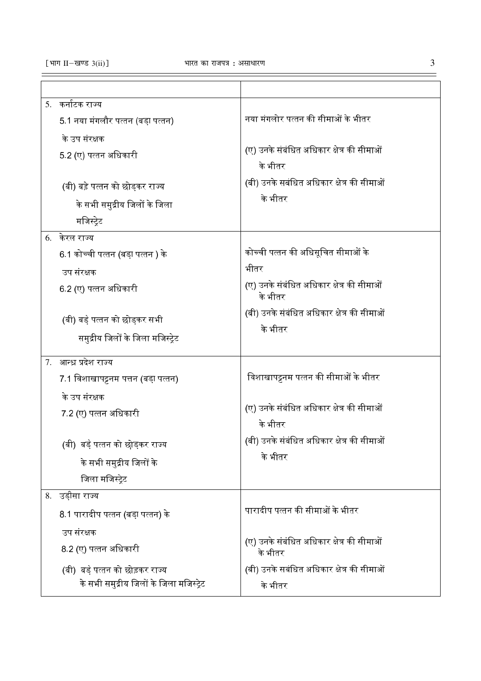| 5.  कर्नाटक राज्य                        |                                            |
|------------------------------------------|--------------------------------------------|
| 5.1 नया मंगलौर पत्तन (बड़ा पत्तन)        | नया मंगलोर पत्तन की सीमाओं के भीतर         |
| के उप संरक्षक                            |                                            |
| 5.2 (ए) पत्तन अधिकारी                    | (ए) उनके संबंधित अधिकार क्षेत्र की सीमाओं  |
|                                          | के भीतर                                    |
| (बी) बड़े पत्तन को छोड़कर राज्य          | (बी) उनके सबंधित अधिकार क्षेत्र की सीमाओं  |
| के सभी समुद्रीय जिलों के जिला            | के भीतर                                    |
| मजिस्ट्रेट                               |                                            |
| 6. केरल राज्य                            |                                            |
| 6.1 कोच्ची पत्तन (बड़ा पत्तन ) के        | कोच्ची पत्तन की अधिसूचित सीमाओं के         |
|                                          | भीतर                                       |
| उप संरक्षक                               | (ए) उनके संबंधित अधिकार क्षेत्र की सीमाओं  |
| 6 2 (ए) पत्तन अधिकारी                    | के भीतर                                    |
| (बी) बड़े पत्तन को छोड़कर सभी            | (बी) उनके संबंधित अधिकार क्षेत्र की सीमाओं |
|                                          | के भीतर                                    |
| समुद्रीय जिलों के जिला मजिस्ट्रेट        |                                            |
| 7. आन्ध्र प्रदेश राज्य                   |                                            |
| 7.1 विशाखापट्टनम पत्तन (बडा़ पत्तन)      | विशाखापट्टनम पत्तन की सीमाओं के भीतर       |
| के उप संरक्षक                            |                                            |
| 7 2 (ए) पत्तन अधिकारी                    | (ए) उनके संबंधित अधिकार क्षेत्र की सीमाओं  |
|                                          | के भीतर                                    |
| (बी) बड़े पत्तन को छोड़कर राज्य          | (बी) उनके संबंधित अधिकार क्षेत्र की सीमाओं |
| के सभी समुद्रीय जिलों के                 | के भीतर                                    |
| जिला मजिस्टेट                            |                                            |
| 8. उड़ीसा राज्य                          |                                            |
|                                          | पारादीप पत्तन की सीमाओं के भीतर            |
| 8.1 पारादीप पत्तन (बड़ा पत्तन) के        |                                            |
| उप संरक्षक                               | (ए) उनके संबंधित अधिकार क्षेत्र की सीमाओं  |
| 8.2 (ए) पत्तन अधिकारी                    | के भीतर                                    |
| (बी)  बड़े पत्तन को छोड़कर राज्य         | (बी) उनके सबंधित अधिकार क्षेत्र की सीमाओं  |
| के सभी समुद्रीय जिलों के जिला मजिस्ट्रेट | के भीतर                                    |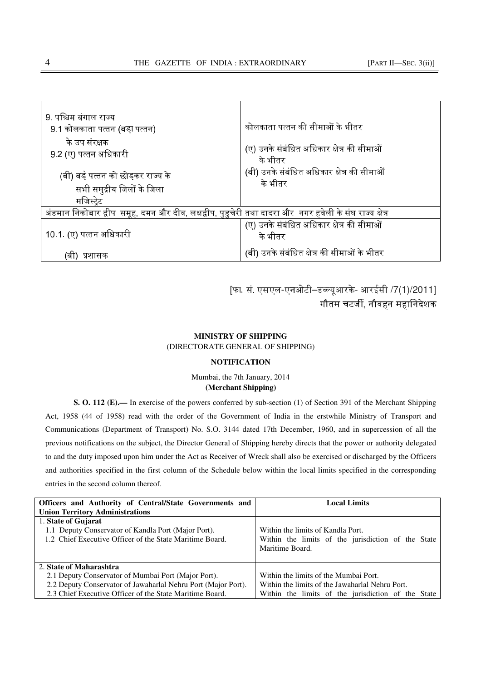| 9. पश्चिम बंगाल राज्य<br>9.1 कोलकाता पत्तन (बड़ा पत्तन)                                                                | कोलकाता पत्तन की सीमाओं के भीतर                       |
|------------------------------------------------------------------------------------------------------------------------|-------------------------------------------------------|
| के उप संरक्षक<br>9 2 (ए) पत्तन अधिकारी                                                                                 | (ए) उनके संबंधित अधिकार क्षेत्र की सीमाओं<br>के भीतर  |
| (बी) बड़े पत्तन को छोड़कर राज्य के<br>सभी समुद्रीय जिलों के जिला                                                       | (बी) उनके संबंधित अधिकार क्षेत्र की सीमाओं<br>के भीतर |
| मजिस्ट्रेट<br>अंडमान निकोबार द्वीप  समूह, दमन और दीव, लक्षद्वीप, पुडुचेरी तथा दादरा और  नगर हवेली के संघ राज्य क्षेत्र |                                                       |
| 10 1. (ए) पत्तन अधिकारी                                                                                                | (ए) उनके संबंधित अधिकार क्षेत्र की सीमाओं<br>के भीतर  |
| प्रशासक                                                                                                                | (बी) उनके संबंधित क्षेत्र की सीमाओं के भीतर           |

[फा. सं. एसएल-एनओटी–डब्ल्यूआरके- आरईसी /7(1)/2011] गौतम चटर्जी, नौवहन महानिदेशक

#### **MINISTRY OF SHIPPING**

(DIRECTORATE GENERAL OF SHIPPING)

#### **NOTIFICATION**

### Mumbai, the 7th January, 2014 **(Merchant Shipping)**

**S. O. 112 (E).—** In exercise of the powers conferred by sub-section (1) of Section 391 of the Merchant Shipping Act, 1958 (44 of 1958) read with the order of the Government of India in the erstwhile Ministry of Transport and Communications (Department of Transport) No. S.O. 3144 dated 17th December, 1960, and in supercession of all the previous notifications on the subject, the Director General of Shipping hereby directs that the power or authority delegated to and the duty imposed upon him under the Act as Receiver of Wreck shall also be exercised or discharged by the Officers and authorities specified in the first column of the Schedule below within the local limits specified in the corresponding entries in the second column thereof.

| Officers and Authority of Central/State Governments and       | <b>Local Limits</b>                                |
|---------------------------------------------------------------|----------------------------------------------------|
| <b>Union Territory Administrations</b>                        |                                                    |
| 1. State of Gujarat                                           |                                                    |
| 1.1 Deputy Conservator of Kandla Port (Major Port).           | Within the limits of Kandla Port.                  |
| 1.2 Chief Executive Officer of the State Maritime Board.      | Within the limits of the jurisdiction of the State |
|                                                               | Maritime Board.                                    |
|                                                               |                                                    |
| 2. State of Maharashtra                                       |                                                    |
| 2.1 Deputy Conservator of Mumbai Port (Major Port).           | Within the limits of the Mumbai Port.              |
| 2.2 Deputy Conservator of Jawaharlal Nehru Port (Major Port). | Within the limits of the Jawaharlal Nehru Port.    |
| 2.3 Chief Executive Officer of the State Maritime Board.      | Within the limits of the jurisdiction of the State |